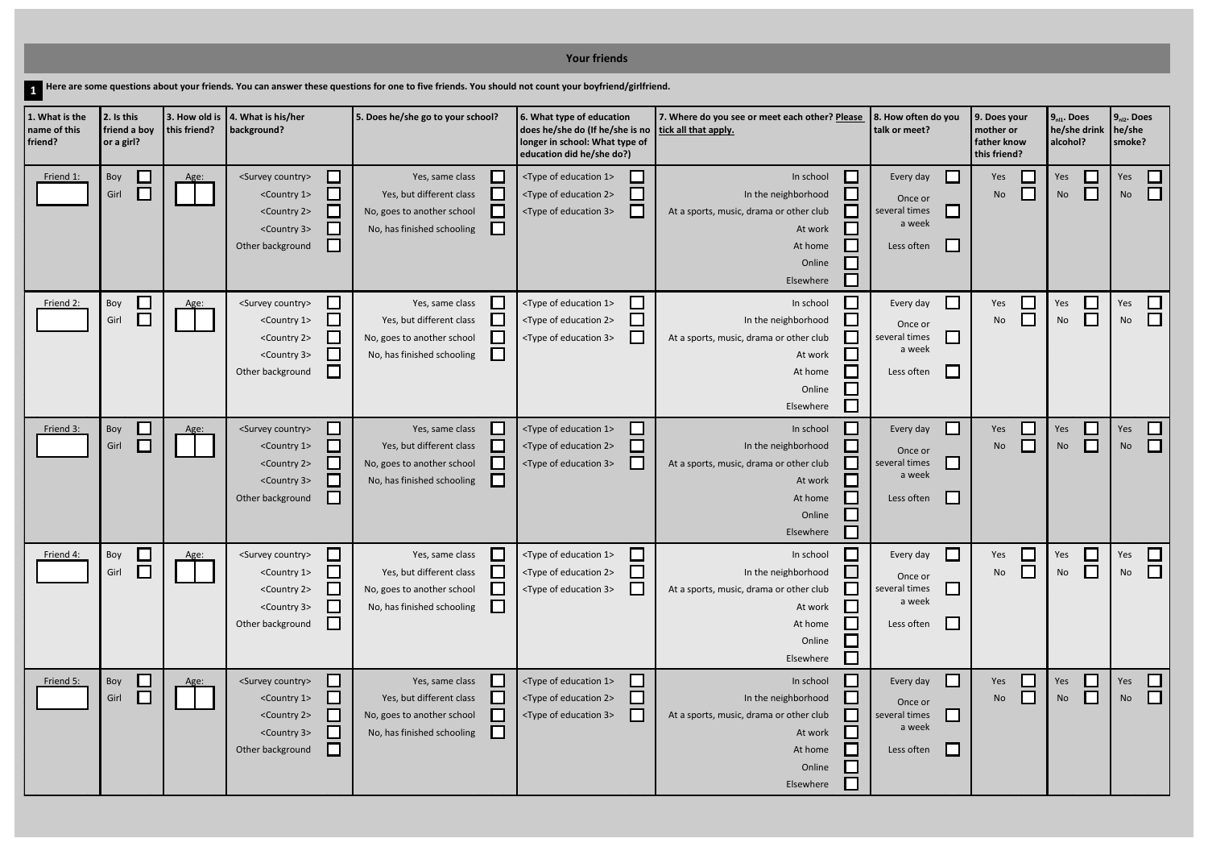|                                                                                                                                                     |                                                   |              |                                                                                                                                                                                                                                                                                                     |                                                                                                                                                                                         | <b>Your friends</b>                                                                                                                                   |                                                                                                                          |                                                                                              |                                                          |                                                                                |                          |  |
|-----------------------------------------------------------------------------------------------------------------------------------------------------|---------------------------------------------------|--------------|-----------------------------------------------------------------------------------------------------------------------------------------------------------------------------------------------------------------------------------------------------------------------------------------------------|-----------------------------------------------------------------------------------------------------------------------------------------------------------------------------------------|-------------------------------------------------------------------------------------------------------------------------------------------------------|--------------------------------------------------------------------------------------------------------------------------|----------------------------------------------------------------------------------------------|----------------------------------------------------------|--------------------------------------------------------------------------------|--------------------------|--|
| Here are some questions about your friends. You can answer these questions for one to five friends. You should not count your boyfriend/girlfriend. |                                                   |              |                                                                                                                                                                                                                                                                                                     |                                                                                                                                                                                         |                                                                                                                                                       |                                                                                                                          |                                                                                              |                                                          |                                                                                |                          |  |
| 1. What is the<br>name of this<br>friend?                                                                                                           | 2. Is this<br>friend a boy<br>or a girl?          | this friend? | 3. How old is $\vert$ 4. What is his/her<br>background?                                                                                                                                                                                                                                             | 5. Does he/she go to your school?                                                                                                                                                       | 6. What type of education<br>does he/she do (If he/she is no<br>longer in school: What type of<br>education did he/she do?)                           | 7. Where do you see or meet each other? Please<br>tick all that apply.                                                   | 8. How often do you<br>talk or meet?                                                         | 9. Does your<br>mother or<br>father know<br>this friend? | $9n11$ . Does<br>he/she drink<br>alcohol?                                      | $9_{n12}$<br>he/s<br>smo |  |
| Friend 1:                                                                                                                                           | Boy<br>$\overline{\phantom{a}}$<br>$\Box$<br>Girl | Age:         | <survey country=""><br/><math>\blacksquare</math><br/><country 1=""><br/><math>\blacksquare</math><br/><country 2=""><br/><math>\overline{\phantom{0}}</math><br/><country 3=""><br/><math>\mathcal{L}</math><br/>Other background<br/><math>\Box</math></country></country></country></survey>     | Yes, same class<br>$\mathbb{R}^n$<br>Yes, but different class<br>No, goes to another school<br>No, has finished schooling<br>$\mathcal{L}_{\mathcal{A}}$                                | <type 1="" education="" of=""><br/><type 2="" education="" of=""><br/><type 3="" education="" of=""></type></type></type>                             | In school<br>In the neighborhood<br>At a sports, music, drama or other club<br>At work<br>At home<br>Online<br>Elsewhere | $\mathbf{L}$<br>Every day<br>Once or<br>$\Box$<br>several times<br>a week<br>L<br>Less often | Yes<br>No                                                | $\mathbb{R}^2$<br>Yes<br>$\Box$<br><b>No</b>                                   | Yes<br><b>Nc</b>         |  |
| Friend 2:                                                                                                                                           | $\Box$<br>Boy<br>$\Box$<br>Girl                   | Age:         | $\Box$<br><survey country=""><br/><math>\Box</math><br/><country 1=""><br/><math>\Box</math><br/><country 2=""><br/><math>\Box</math><br/><country 3=""><br/><math>\overline{\phantom{a}}</math><br/>Other background</country></country></country></survey>                                        | Yes, same class<br><b>College</b><br>Yes, but different class<br>$\mathcal{L}_{\mathcal{A}}$<br>No, goes to another school<br>No, has finished schooling<br>$\mathcal{L}_{\mathcal{A}}$ | <type 1="" education="" of=""><br/><type 2="" education="" of=""><br/><type 3="" education="" of=""></type></type></type>                             | In school<br>In the neighborhood<br>At a sports, music, drama or other club<br>At work<br>At home<br>Online<br>Elsewhere | $\Box$<br>Every day<br>Once or<br>$\Box$<br>several times<br>a week<br>$\Box$<br>Less often  | Yes<br>No                                                | $\mathcal{L}_{\mathcal{A}}$<br>Yes<br>$\mathcal{L}_{\mathcal{A}}$<br><b>No</b> | Yes<br><b>Nc</b>         |  |
| Friend <sub>3:</sub>                                                                                                                                | Boy<br>└<br>$\Box$<br>Girl                        | Age:         | <survey country=""><br/><math>\blacksquare</math><br/><country 1=""><br/><math>\overline{\phantom{a}}</math><br/><country 2=""><br/><math display="inline">\mathcal{L}</math><br/><country 3=""><br/><math display="inline">\sim</math><br/>Other background</country></country></country></survey> | Yes, same class<br>Yes, but different class<br>No, goes to another school<br>No, has finished schooling                                                                                 | <type 1="" education="" of=""><br/><type 2="" education="" of=""><br/><type 3="" education="" of=""></type></type></type>                             | In school<br>In the neighborhood<br>At a sports, music, drama or other club<br>At work<br>At home<br>Online<br>Elsewhere | $\mathsf{L}$<br>Every day<br>Once or<br>several times<br>a week<br>Less often                | Yes<br>No                                                | $\mathcal{L}_{\mathcal{A}}$<br>Yes<br>$\mathcal{L}_{\mathcal{A}}$<br><b>No</b> | Yes<br><b>Nc</b>         |  |
| Friend 4:                                                                                                                                           | $\Box$<br>Boy<br>$\Box$<br>Girl                   | Age:         | <survey country=""><br/><math>\Box</math><br/><country 1=""><br/><math>\blacksquare</math><br/><country 2=""><br/><math>\Box</math><br/><country 3=""><br/>⊔<br/><math display="block">\Box</math><br/>Other background</country></country></country></survey>                                      | Yes, same class<br><b>College</b><br>Yes, but different class<br>No, goes to another school<br>No, has finished schooling<br>$\mathcal{L}_{\mathcal{A}}$                                | <type 1="" education="" of=""><br/><type 2="" education="" of=""><br/><type 3="" education="" of=""><br/><math>\mathbf{L}</math></type></type></type> | In school<br>In the neighborhood<br>At a sports, music, drama or other club<br>At work<br>At home<br>Online<br>Elsewhere | $\Box$<br>Every day<br>Once or<br>$\Box$<br>several times<br>a week<br>$\Box$<br>Less often  | Yes<br>No                                                | Yes<br>$\Box$<br>No                                                            | Yes<br><b>Nc</b>         |  |
| Friend 5:                                                                                                                                           | ⊑<br>Boy<br>$\Box$<br>Girl                        | Age:         | <survey country=""><br/><math>\Box</math><br/><country 1=""><br/><math>\Box</math><br/><country 2=""><br/><math>\overline{\phantom{a}}</math><br/><country 3=""><br/><math>\Box</math><br/>Other background<br/>⊔</country></country></country></survey>                                            | Yes, same class<br><b>College</b><br>Yes, but different class<br>l s<br>No, goes to another school<br>$\mathcal{L}_{\mathcal{A}}$<br>No, has finished schooling                         | <type 1="" education="" of=""><br/><type 2="" education="" of=""><br/><type 3="" education="" of=""></type></type></type>                             | In school<br>In the neighborhood<br>At a sports, music, drama or other club<br>At work<br>At home<br>Online<br>Elsewhere | $\Box$<br>Every day<br>Once or<br>$\Box$<br>several times<br>a week<br>⊔<br>Less often       | Yes<br>No                                                | $\Box$<br>Yes<br>⊔<br><b>No</b>                                                | Yes<br><b>Nc</b>         |  |

## $9_{n11}$ . Does **9nl2. Does often do you 9. Does your he/she drink he/she mother or father know alcohol? smoke? this friend?** Yes  $\Box$  Yes  $\Box$ <br>No  $\Box$  No  $\Box$  $\Box$  $No$ e or  $\Box$ <sub>ıl</sub>ı times<br>a week  $\Box$  $\Box$  $N$ o  $\overline{\Box}$  No  $\overline{\Box}$  $\Box$ No ce or  $\hfill \square$ <sub>ıl times</sub><br>a week  $\Box$ No No No $\Box$  $\Box$ No e or  $\Box$ <sub>ıl</sub> times<br>a week  $\Box$  $\Box$  $N$ o  $\overline{\Box}$   $N$ o  $\overline{\Box}$  $No$   $\Box$ e or  $\Box$ <sub>ıl</sub>ı times<br>a week  $\Box$ No No No $\Box$  $\Box$ No e or  $\Box$ <sub>ıl</sub> times<br>a week  $\Box$